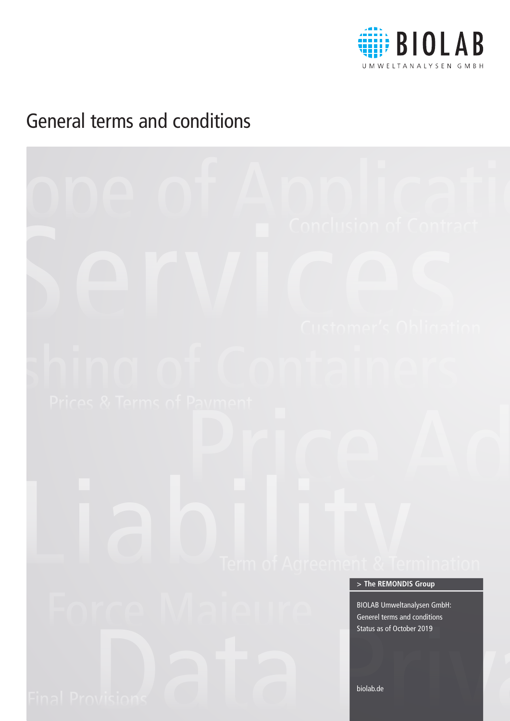

# General terms and conditions

# DDE of Application Frices & Terms of Payment<br>
Prices & Terms of Payment<br>
Price Adjustment Reserved Adjustment On Payment Reserved Price Adjustment On Payment Reserved Price Adjustment On Payment On Payment On Payment On Payment On Payment On Final Provisions Data Provisions Data Provisions Data Provisions Data Provisions Data Provisions Data Provisions Data Provisions Data Provisions Data Provisions Data Provisions Data Provisions Data Provisions Data Provisio biolab.de BIOLAB Umweltanalysen GmbH: Generel terms and conditions Status as of October 2019 **> The REMONDIS Group**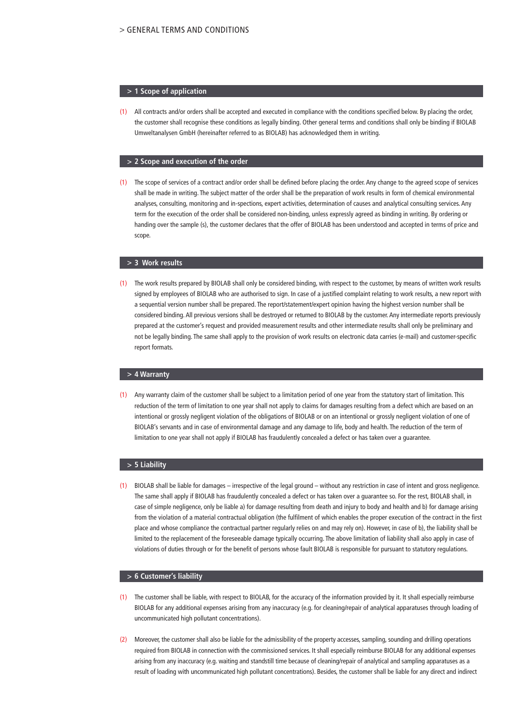#### **> 1 Scope of application**

(1) All contracts and/or orders shall be accepted and executed in compliance with the conditions specified below. By placing the order, the customer shall recognise these conditions as legally binding. Other general terms and conditions shall only be binding if BIOLAB Umweltanalysen GmbH (hereinafter referred to as BIOLAB) has acknowledged them in writing.

#### **> 2 Scope and execution of the order**

(1) The scope of services of a contract and/or order shall be defined before placing the order. Any change to the agreed scope of services shall be made in writing. The subject matter of the order shall be the preparation of work results in form of chemical environmental analyses, consulting, monitoring and in-spections, expert activities, determination of causes and analytical consulting services. Any term for the execution of the order shall be considered non-binding, unless expressly agreed as binding in writing. By ordering or handing over the sample (s), the customer declares that the offer of BIOLAB has been understood and accepted in terms of price and scope.

#### **> 3 Work results**

(1) The work results prepared by BIOLAB shall only be considered binding, with respect to the customer, by means of written work results signed by employees of BIOLAB who are authorised to sign. In case of a justified complaint relating to work results, a new report with a sequential version number shall be prepared. The report/statement/expert opinion having the highest version number shall be considered binding. All previous versions shall be destroyed or returned to BIOLAB by the customer. Any intermediate reports previously prepared at the customer's request and provided measurement results and other intermediate results shall only be preliminary and not be legally binding. The same shall apply to the provision of work results on electronic data carries (e-mail) and customer-specific report formats.

#### **> 4 Warranty**

(1) Any warranty claim of the customer shall be subject to a limitation period of one year from the statutory start of limitation. This reduction of the term of limitation to one year shall not apply to claims for damages resulting from a defect which are based on an intentional or grossly negligent violation of the obligations of BIOLAB or on an intentional or grossly negligent violation of one of BIOLAB's servants and in case of environmental damage and any damage to life, body and health. The reduction of the term of limitation to one year shall not apply if BIOLAB has fraudulently concealed a defect or has taken over a guarantee.

# **> 5 Liability**

(1) BIOLAB shall be liable for damages – irrespective of the legal ground – without any restriction in case of intent and gross negligence. The same shall apply if BIOLAB has fraudulently concealed a defect or has taken over a guarantee so. For the rest, BIOLAB shall, in case of simple negligence, only be liable a) for damage resulting from death and injury to body and health and b) for damage arising from the violation of a material contractual obligation (the fulfilment of which enables the proper execution of the contract in the first place and whose compliance the contractual partner regularly relies on and may rely on). However, in case of b), the liability shall be limited to the replacement of the foreseeable damage typically occurring. The above limitation of liability shall also apply in case of violations of duties through or for the benefit of persons whose fault BIOLAB is responsible for pursuant to statutory regulations.

#### **> 6 Customer's liability**

- (1) The customer shall be liable, with respect to BIOLAB, for the accuracy of the information provided by it. It shall especially reimburse BIOLAB for any additional expenses arising from any inaccuracy (e.g. for cleaning/repair of analytical apparatuses through loading of uncommunicated high pollutant concentrations).
- (2) Moreover, the customer shall also be liable for the admissibility of the property accesses, sampling, sounding and drilling operations required from BIOLAB in connection with the commissioned services. It shall especially reimburse BIOLAB for any additional expenses arising from any inaccuracy (e.g. waiting and standstill time because of cleaning/repair of analytical and sampling apparatuses as a result of loading with uncommunicated high pollutant concentrations). Besides, the customer shall be liable for any direct and indirect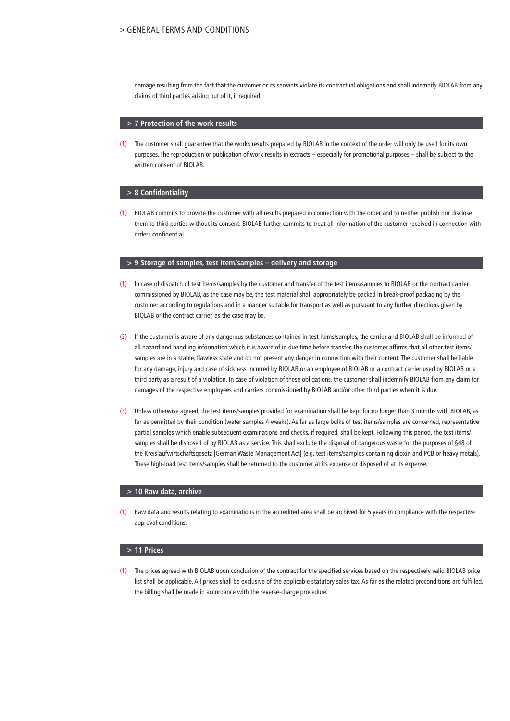damage resulting from the fact that the customer or its servants violate its contractual obligations and shall indemnify BIOLAB from any claims of third parties arising out of it, if required.

#### **> 7 Protection of the work results**

(1) The customer shall guarantee that the works results prepared by BIOLAB in the context of the order will only be used for its own purposes. The reproduction or publication of work results in extracts – especially for promotional purposes – shall be subject to the written consent of BIOLAB.

#### **> 8 Confidentiality**

(1) BIOLAB commits to provide the customer with all results prepared in connection with the order and to neither publish nor disclose them to third parties without its consent. BIOLAB further commits to treat all information of the customer received in connection with orders confidential.

# **> 9 Storage of samples, test item/samples – delivery and storage**

- (1) In case of dispatch of test items/samples by the customer and transfer of the test items/samples to BIOLAB or the contract carrier commissioned by BIOLAB, as the case may be, the test material shall appropriately be packed in break-proof packaging by the customer according to regulations and in a manner suitable for transport as well as pursuant to any further directions given by BIOLAB or the contract carrier, as the case may be.
- (2) If the customer is aware of any dangerous substances contained in test items/samples, the carrier and BIOLAB shall be informed of all hazard and handling information which it is aware of in due time before transfer. The customer affirms that all other test items/ samples are in a stable, flawless state and do not present any danger in connection with their content. The customer shall be liable for any damage, injury and case of sickness incurred by BIOLAB or an employee of BIOLAB or a contract carrier used by BIOLAB or a third party as a result of a violation. In case of violation of these obligations, the customer shall indemnify BIOLAB from any claim for damages of the respective employees and carriers commissioned by BIOLAB and/or other third parties when it is due.
- (3) Unless otherwise agreed, the test items/samples provided for examination shall be kept for no longer than 3 months with BIOLAB, as far as permitted by their condition (water samples 4 weeks). As far as large bulks of test items/samples are concerned, representative partial samples which enable subsequent examinations and checks, if required, shall be kept. Following this period, the test items/ samples shall be disposed of by BIOLAB as a service. This shall exclude the disposal of dangerous waste for the purposes of §48 of the Kreislaufwirtschaftsgesetz [German Waste Management Act] (e.g. test items/samples containing dioxin and PCB or heavy metals). These high-load test items/samples shall be returned to the customer at its expense or disposed of at its expense.

#### **> 10 Raw data, archive**

(1) Raw data and results relating to examinations in the accredited area shall be archived for 5 years in compliance with the respective approval conditions.

#### **> 11 Prices**

(1) The prices agreed with BIOLAB upon conclusion of the contract for the specified services based on the respectively valid BIOLAB price list shall be applicable. All prices shall be exclusive of the applicable statutory sales tax. As far as the related preconditions are fulfilled, the billing shall be made in accordance with the reverse-charge procedure.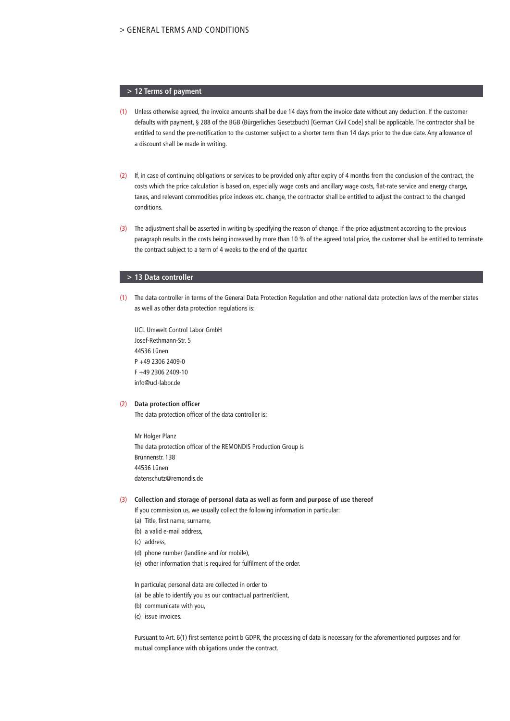### **> 12 Terms of payment**

- (1) Unless otherwise agreed, the invoice amounts shall be due 14 days from the invoice date without any deduction. If the customer defaults with payment, § 288 of the BGB (Bürgerliches Gesetzbuch) [German Civil Code] shall be applicable. The contractor shall be entitled to send the pre-notification to the customer subject to a shorter term than 14 days prior to the due date. Any allowance of a discount shall be made in writing.
- (2) If, in case of continuing obligations or services to be provided only after expiry of 4 months from the conclusion of the contract, the costs which the price calculation is based on, especially wage costs and ancillary wage costs, flat-rate service and energy charge, taxes, and relevant commodities price indexes etc. change, the contractor shall be entitled to adjust the contract to the changed conditions.
- (3) The adjustment shall be asserted in writing by specifying the reason of change. If the price adjustment according to the previous paragraph results in the costs being increased by more than 10 % of the agreed total price, the customer shall be entitled to terminate the contract subject to a term of 4 weeks to the end of the quarter.

#### **> 13 Data controller**

(1) The data controller in terms of the General Data Protection Regulation and other national data protection laws of the member states as well as other data protection regulations is:

UCL Umwelt Control Labor GmbH Josef-Rethmann-Str. 5 44536 Lünen P +49 2306 2409-0 F +49 2306 2409-10 info@ucl-labor.de

#### (2) **Data protection officer**

The data protection officer of the data controller is:

Mr Holger Planz The data protection officer of the REMONDIS Production Group is Brunnenstr. 138 44536 Lünen datenschutz@remondis.de

## (3) **Collection and storage of personal data as well as form and purpose of use thereof**

If you commission us, we usually collect the following information in particular:

- (a) Title, first name, surname,
- (b) a valid e-mail address,
- (c) address,
- (d) phone number (landline and /or mobile),
- (e) other information that is required for fulfilment of the order.

In particular, personal data are collected in order to

- (a) be able to identify you as our contractual partner/client,
- (b) communicate with you,
- (c) issue invoices.

Pursuant to Art. 6(1) first sentence point b GDPR, the processing of data is necessary for the aforementioned purposes and for mutual compliance with obligations under the contract.